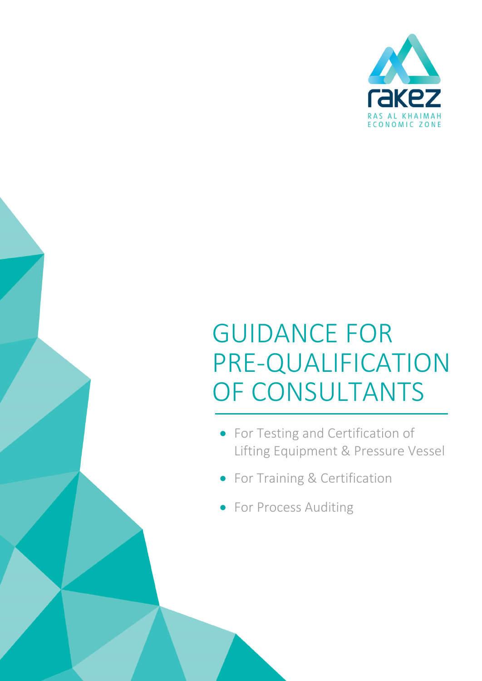

# GUIDANCE FOR PRE-QUALIFICATION OF CONSULTANTS

- For Testing and Certification of Lifting Equipment & Pressure Vessel
- For Training & Certification
- For Process Auditing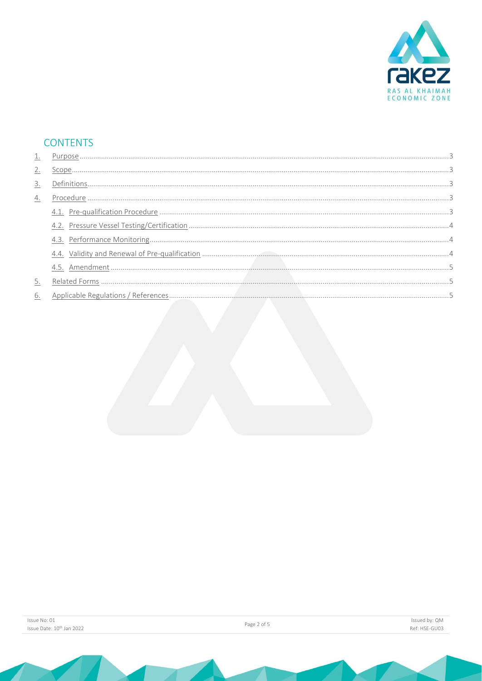

# **CONTENTS**

| 2. |  |
|----|--|
| 3. |  |
| 4. |  |
|    |  |
|    |  |
|    |  |
|    |  |
|    |  |
| 5. |  |
|    |  |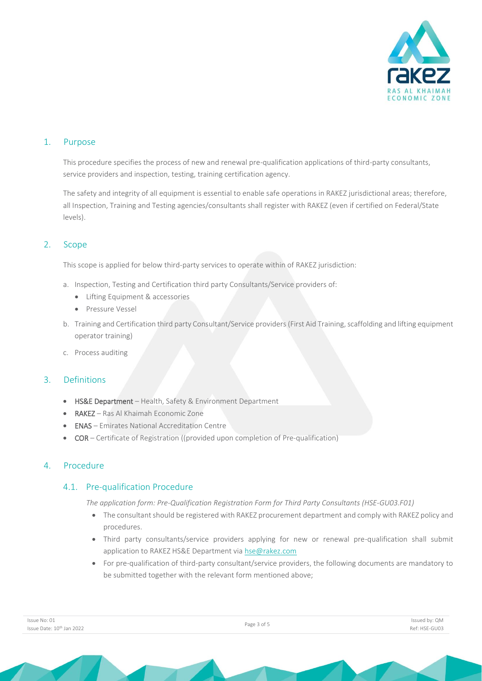

#### <span id="page-2-0"></span>1. Purpose

This procedure specifies the process of new and renewal pre-qualification applications of third-party consultants, service providers and inspection, testing, training certification agency.

The safety and integrity of all equipment is essential to enable safe operations in RAKEZ jurisdictional areas; therefore, all Inspection, Training and Testing agencies/consultants shall register with RAKEZ (even if certified on Federal/State levels).

#### <span id="page-2-1"></span>2. Scope

This scope is applied for below third-party services to operate within of RAKEZ jurisdiction:

- a. Inspection, Testing and Certification third party Consultants/Service providers of:
	- Lifting Equipment & accessories
	- Pressure Vessel
- b. Training and Certification third party Consultant/Service providers (First Aid Training, scaffolding and lifting equipment operator training)
- c. Process auditing

#### <span id="page-2-2"></span>3. Definitions

- HS&E Department Health, Safety & Environment Department
- RAKEZ Ras Al Khaimah Economic Zone
- ENAS Emirates National Accreditation Centre
- COR Certificate of Registration ((provided upon completion of Pre-qualification)

#### <span id="page-2-4"></span><span id="page-2-3"></span>4. Procedure

#### 4.1. Pre-qualification Procedure

*The application form: Pre-Qualification Registration Form for Third Party Consultants (HSE-GU03.F01)*

- The consultant should be registered with RAKEZ procurement department and comply with RAKEZ policy and procedures.
- Third party consultants/service providers applying for new or renewal pre-qualification shall submit application to RAKEZ HS&E Department via [hse@rakez.com](mailto:hse@rakez.com)
- For pre-qualification of third-party consultant/service providers, the following documents are mandatory to be submitted together with the relevant form mentioned above;

|  | Issue No: 01                          |  |  |  |
|--|---------------------------------------|--|--|--|
|  | Issue Date: 10 <sup>th</sup> Jan 2022 |  |  |  |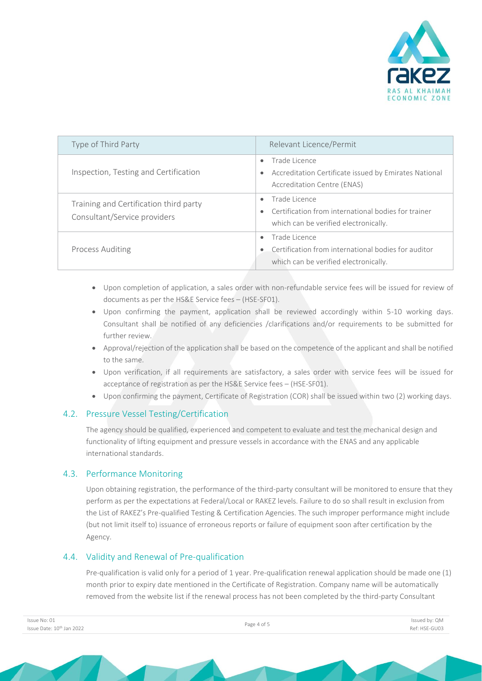

| Type of Third Party                                                    | Relevant Licence/Permit                                                                                                                 |  |
|------------------------------------------------------------------------|-----------------------------------------------------------------------------------------------------------------------------------------|--|
| Inspection, Testing and Certification                                  | Trade Licence<br>$\bullet$<br>Accreditation Certificate issued by Emirates National<br>$\bullet$<br>Accreditation Centre (ENAS)         |  |
| Training and Certification third party<br>Consultant/Service providers | Trade Licence<br>$\bullet$<br>Certification from international bodies for trainer<br>$\bullet$<br>which can be verified electronically. |  |
| <b>Process Auditing</b>                                                | Trade Licence<br>$\bullet$<br>Certification from international bodies for auditor<br>which can be verified electronically.              |  |

- Upon completion of application, a sales order with non-refundable service fees will be issued for review of documents as per the HS&E Service fees – (HSE-SF01).
- Upon confirming the payment, application shall be reviewed accordingly within 5-10 working days. Consultant shall be notified of any deficiencies /clarifications and/or requirements to be submitted for further review.
- Approval/rejection of the application shall be based on the competence of the applicant and shall be notified to the same.
- Upon verification, if all requirements are satisfactory, a sales order with service fees will be issued for acceptance of registration as per the HS&E Service fees – (HSE-SF01).
- Upon confirming the payment, Certificate of Registration (COR) shall be issued within two (2) working days.

#### <span id="page-3-0"></span>4.2. Pressure Vessel Testing/Certification

The agency should be qualified, experienced and competent to evaluate and test the mechanical design and functionality of lifting equipment and pressure vessels in accordance with the ENAS and any applicable international standards.

#### <span id="page-3-1"></span>4.3. Performance Monitoring

Upon obtaining registration, the performance of the third-party consultant will be monitored to ensure that they perform as per the expectations at Federal/Local or RAKEZ levels. Failure to do so shall result in exclusion from the List of RAKEZ's Pre-qualified Testing & Certification Agencies. The such improper performance might include (but not limit itself to) issuance of erroneous reports or failure of equipment soon after certification by the Agency.

#### <span id="page-3-2"></span>4.4. Validity and Renewal of Pre-qualification

Pre-qualification is valid only for a period of 1 year. Pre-qualification renewal application should be made one (1) month prior to expiry date mentioned in the Certificate of Registration. Company name will be automatically removed from the website list if the renewal process has not been completed by the third-party Consultant